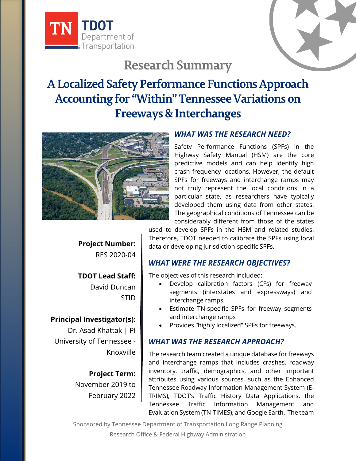



# **Research Summary**

## **A Localized Safety Performance Functions Approach Accounting for "Within" Tennessee Variations on Freeways & Interchanges**



#### *WHAT WAS THE RESEARCH NEED?*

Safety Performance Functions (SPFs) in the Highway Safety Manual (HSM) are the core predictive models and can help identify high crash frequency locations. However, the default SPFs for freeways and interchange ramps may not truly represent the local conditions in a particular state, as researchers have typically developed them using data from other states. The geographical conditions of Tennessee can be considerably different from those of the states

**Project Number:** RES 2020-04

**TDOT Lead Staff:** David Duncan STID

## **Principal Investigator(s):**

Dr. Asad Khattak | PI University of Tennessee - Knoxville

> **Project Term:** November 2019 to February 2022

used to develop SPFs in the HSM and related studies. Therefore, TDOT needed to calibrate the SPFs using local data or developing jurisdiction-specific SPFs.

## *WHAT WERE THE RESEARCH OBJECTIVES?*

The objectives of this research included:

- Develop calibration factors (CFs) for freeway segments (interstates and expressways) and interchange ramps.
- Estimate TN-specific SPFs for freeway segments and interchange ramps
- Provides "highly localized" SPFs for freeways.

#### *WHAT WAS THE RESEARCH APPROACH?*

The research team created a unique database for freeways and interchange ramps that includes crashes, roadway inventory, traffic, demographics, and other important attributes using various sources, such as the Enhanced Tennessee Roadway Information Management System (E-TRIMS), TDOT's Traffic History Data Applications, the Tennessee Traffic Information Management and Evaluation System (TN-TIMES), and Google Earth. The team

Sponsored by Tennessee Department of Transportation Long Range Planning Research Office & Federal Highway Administration